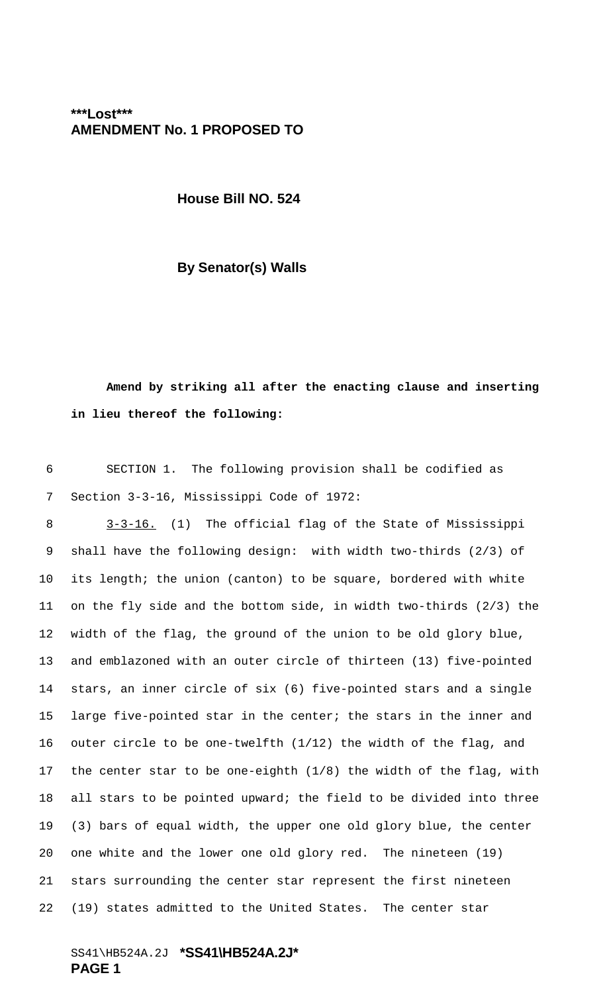**\*\*\*Lost\*\*\* AMENDMENT No. 1 PROPOSED TO**

**House Bill NO. 524**

**By Senator(s) Walls**

**Amend by striking all after the enacting clause and inserting in lieu thereof the following:**

 SECTION 1. The following provision shall be codified as Section 3-3-16, Mississippi Code of 1972:

8 3-3-16. (1) The official flag of the State of Mississippi shall have the following design: with width two-thirds (2/3) of its length; the union (canton) to be square, bordered with white on the fly side and the bottom side, in width two-thirds (2/3) the width of the flag, the ground of the union to be old glory blue, and emblazoned with an outer circle of thirteen (13) five-pointed stars, an inner circle of six (6) five-pointed stars and a single large five-pointed star in the center; the stars in the inner and outer circle to be one-twelfth (1/12) the width of the flag, and the center star to be one-eighth (1/8) the width of the flag, with all stars to be pointed upward; the field to be divided into three (3) bars of equal width, the upper one old glory blue, the center one white and the lower one old glory red. The nineteen (19) stars surrounding the center star represent the first nineteen (19) states admitted to the United States. The center star

SS41\HB524A.2J **\*SS41\HB524A.2J\* PAGE 1**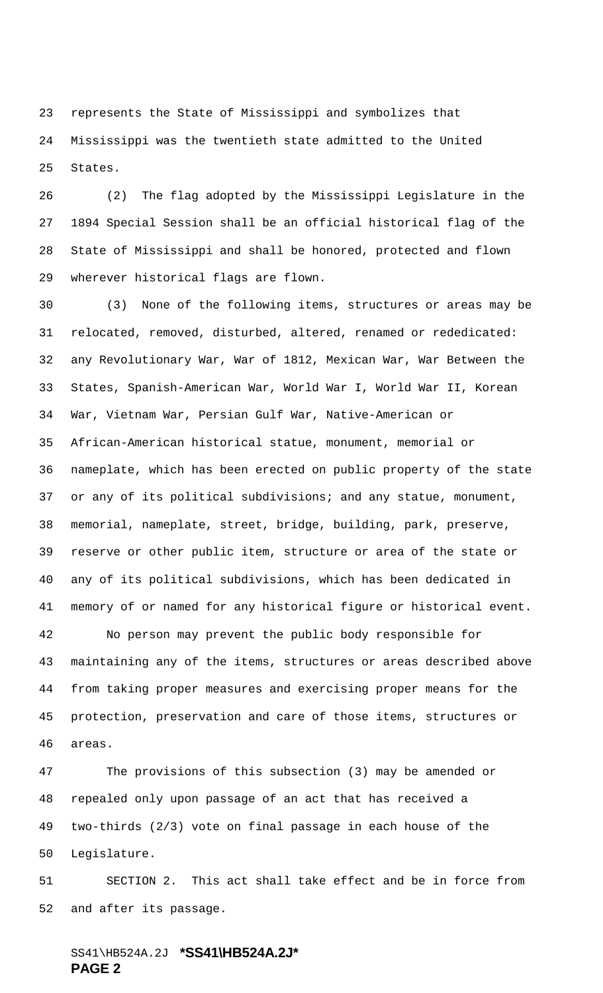represents the State of Mississippi and symbolizes that Mississippi was the twentieth state admitted to the United States.

 (2) The flag adopted by the Mississippi Legislature in the 1894 Special Session shall be an official historical flag of the State of Mississippi and shall be honored, protected and flown wherever historical flags are flown.

 (3) None of the following items, structures or areas may be relocated, removed, disturbed, altered, renamed or rededicated: any Revolutionary War, War of 1812, Mexican War, War Between the States, Spanish-American War, World War I, World War II, Korean War, Vietnam War, Persian Gulf War, Native-American or African-American historical statue, monument, memorial or nameplate, which has been erected on public property of the state or any of its political subdivisions; and any statue, monument, memorial, nameplate, street, bridge, building, park, preserve, reserve or other public item, structure or area of the state or any of its political subdivisions, which has been dedicated in memory of or named for any historical figure or historical event.

 No person may prevent the public body responsible for maintaining any of the items, structures or areas described above from taking proper measures and exercising proper means for the protection, preservation and care of those items, structures or areas.

 The provisions of this subsection (3) may be amended or repealed only upon passage of an act that has received a two-thirds (2/3) vote on final passage in each house of the Legislature.

 SECTION 2. This act shall take effect and be in force from and after its passage.

## SS41\HB524A.2J **\*SS41\HB524A.2J\* PAGE 2**